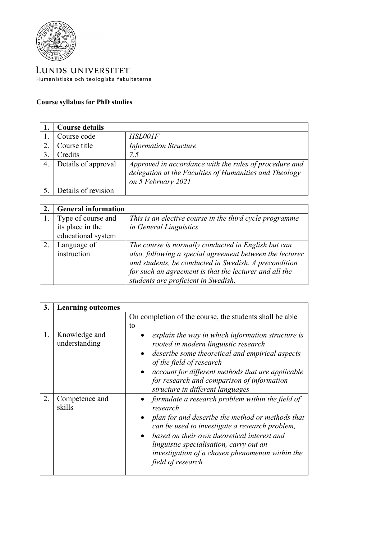

LUNDS UNIVERSITET Humanistiska och teologiska fakulteterna

## **Course syllabus for PhD studies**

|    | <b>Course details</b> |                                                                                                                  |
|----|-----------------------|------------------------------------------------------------------------------------------------------------------|
|    | Course code           | HSL001F                                                                                                          |
| 2. | Course title          | <b>Information Structure</b>                                                                                     |
|    | Credits               | 7.5                                                                                                              |
| 4. | Details of approval   | Approved in accordance with the rules of procedure and<br>delegation at the Faculties of Humanities and Theology |
|    |                       | on 5 February 2021                                                                                               |
|    | Details of revision   |                                                                                                                  |

| <b>General information</b> |                                                          |
|----------------------------|----------------------------------------------------------|
| Type of course and         | This is an elective course in the third cycle programme  |
| its place in the           | in General Linguistics                                   |
| educational system         |                                                          |
| Language of                | The course is normally conducted in English but can      |
| instruction                | also, following a special agreement between the lecturer |
|                            | and students, be conducted in Swedish. A precondition    |
|                            | for such an agreement is that the lecturer and all the   |
|                            | students are proficient in Swedish.                      |

| 3. | <b>Learning outcomes</b>       |                                                                                                                                                                                                                                                                                                                                          |
|----|--------------------------------|------------------------------------------------------------------------------------------------------------------------------------------------------------------------------------------------------------------------------------------------------------------------------------------------------------------------------------------|
|    |                                | On completion of the course, the students shall be able<br>to                                                                                                                                                                                                                                                                            |
| 1. | Knowledge and<br>understanding | explain the way in which information structure is<br>rooted in modern linguistic research<br>describe some theoretical and empirical aspects<br>$\bullet$<br>of the field of research<br>account for different methods that are applicable<br>for research and comparison of information<br>structure in different languages             |
| 2. | Competence and<br>skills       | • formulate a research problem within the field of<br>research<br>• plan for and describe the method or methods that<br>can be used to investigate a research problem,<br>based on their own theoretical interest and<br>linguistic specialisation, carry out an<br>investigation of a chosen phenomenon within the<br>field of research |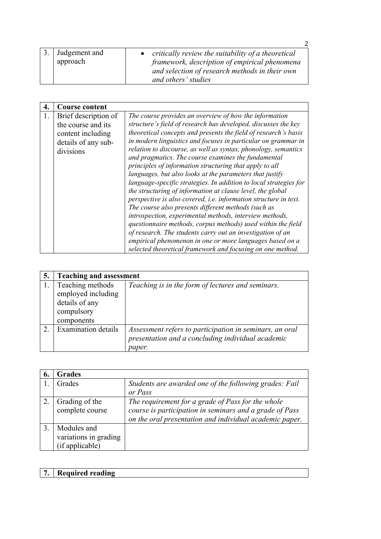|                              | $\mathcal{P}$                                                                                                                                                                |
|------------------------------|------------------------------------------------------------------------------------------------------------------------------------------------------------------------------|
| 3. Judgement and<br>approach | critically review the suitability of a theoretical<br>framework, description of empirical phenomena<br>and selection of research methods in their own<br>and others' studies |

|    | <b>Course content</b>                                                                               |                                                                                                                                                                                                                                                                                                                                                                                                                                                                                                                                                                                   |
|----|-----------------------------------------------------------------------------------------------------|-----------------------------------------------------------------------------------------------------------------------------------------------------------------------------------------------------------------------------------------------------------------------------------------------------------------------------------------------------------------------------------------------------------------------------------------------------------------------------------------------------------------------------------------------------------------------------------|
| 1. | Brief description of<br>the course and its<br>content including<br>details of any sub-<br>divisions | The course provides an overview of how the information<br>structure's field of research has developed, discusses the key<br>theoretical concepts and presents the field of research's basis<br>in modern linguistics and focuses in particular on grammar in<br>relation to discourse, as well as syntax, phonology, semantics<br>and pragmatics. The course examines the fundamental<br>principles of information structuring that apply to all<br>languages, but also looks at the parameters that justify<br>language-specific strategies. In addition to local strategies for |
|    |                                                                                                     | the structuring of information at clause level, the global<br>perspective is also covered, i.e. information structure in text.<br>The course also presents different methods (such as                                                                                                                                                                                                                                                                                                                                                                                             |
|    |                                                                                                     | introspection, experimental methods, interview methods,<br>questionnaire methods, corpus methods) used within the field                                                                                                                                                                                                                                                                                                                                                                                                                                                           |
|    |                                                                                                     | of research. The students carry out an investigation of an<br>empirical phenomenon in one or more languages based on a<br>selected theoretical framework and focusing on one method.                                                                                                                                                                                                                                                                                                                                                                                              |

| 5. | <b>Teaching and assessment</b>                                                       |                                                                                                                        |
|----|--------------------------------------------------------------------------------------|------------------------------------------------------------------------------------------------------------------------|
|    | Teaching methods<br>employed including<br>details of any<br>compulsory<br>components | Teaching is in the form of lectures and seminars.                                                                      |
| 2. | <b>Examination details</b>                                                           | Assessment refers to participation in seminars, an oral<br>presentation and a concluding individual academic<br>paper. |

| 6. | <b>Grades</b>                                           |                                                                                                                                                                         |
|----|---------------------------------------------------------|-------------------------------------------------------------------------------------------------------------------------------------------------------------------------|
|    | Grades                                                  | Students are awarded one of the following grades: Fail                                                                                                                  |
|    |                                                         | or Pass                                                                                                                                                                 |
|    | Grading of the<br>complete course                       | The requirement for a grade of Pass for the whole<br>course is participation in seminars and a grade of Pass<br>on the oral presentation and individual academic paper. |
|    | Modules and<br>variations in grading<br>(if applicable) |                                                                                                                                                                         |

| $\overline{7}$<br>Required<br>reading |
|---------------------------------------|
|---------------------------------------|